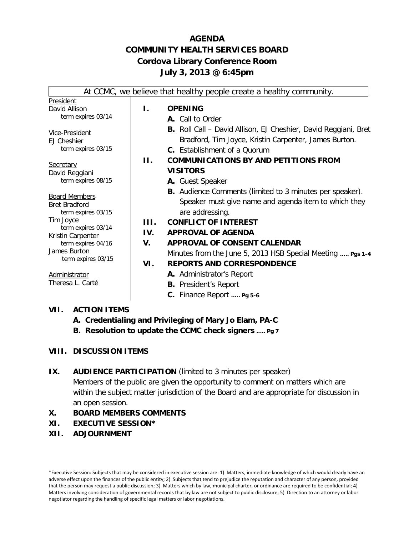# **AGENDA COMMUNITY HEALTH SERVICES BOARD Cordova Library Conference Room July 3, 2013 @ 6:45pm**

|                                            |  |         | At CCMC, we believe that healthy people create a healthy community.    |
|--------------------------------------------|--|---------|------------------------------------------------------------------------|
| President                                  |  |         |                                                                        |
| David Allison                              |  | Ι.      | <b>OPENING</b>                                                         |
| term expires 03/14                         |  |         | A. Call to Order                                                       |
| Vice-President                             |  |         | <b>B.</b> Roll Call – David Allison, EJ Cheshier, David Reggiani, Bret |
| <b>EJ Cheshier</b>                         |  |         | Bradford, Tim Joyce, Kristin Carpenter, James Burton.                  |
| term expires 03/15                         |  |         | <b>C.</b> Establishment of a Quorum                                    |
|                                            |  | $\Pi$ . | <b>COMMUNICATIONS BY AND PETITIONS FROM</b>                            |
| <b>Secretary</b><br>David Reggiani         |  |         | <b>VISITORS</b>                                                        |
| term expires 08/15                         |  |         | A. Guest Speaker                                                       |
|                                            |  |         | <b>B.</b> Audience Comments (limited to 3 minutes per speaker).        |
| <b>Board Members</b>                       |  |         | Speaker must give name and agenda item to which they                   |
| <b>Bret Bradford</b><br>term expires 03/15 |  |         | are addressing.                                                        |
| Tim Joyce                                  |  | HL.     | <b>CONFLICT OF INTEREST</b>                                            |
| term expires 03/14                         |  | IV.     | <b>APPROVAL OF AGENDA</b>                                              |
| Kristin Carpenter<br>term expires 04/16    |  | V.      | APPROVAL OF CONSENT CALENDAR                                           |
| James Burton                               |  |         | Minutes from the June 5, 2013 HSB Special Meeting  Pgs 1-4             |
| term expires 03/15                         |  | VI.     | <b>REPORTS AND CORRESPONDENCE</b>                                      |
| Administrator                              |  |         | A. Administrator's Report                                              |
| Theresa L. Carté                           |  |         | <b>B.</b> President's Report                                           |
|                                            |  |         | C. Finance Report  Pg 5-6                                              |
|                                            |  |         |                                                                        |

### **VII. ACTION ITEMS**

- **A. Credentialing and Privileging of Mary Jo Elam, PA-C**
- **B. Resolution to update the CCMC check signers ….. Pg 7**

### **VIII. DISCUSSION ITEMS**

### **IX.** AUDIENCE PARTICIPATION (limited to 3 minutes per speaker)

Members of the public are given the opportunity to comment on matters which are within the subject matter jurisdiction of the Board and are appropriate for discussion in an open session.

- **X. BOARD MEMBERS COMMENTS**
- **XI. EXECUTIVE SESSION\***
- **XII. ADJOURNMENT**

<sup>\*</sup>Executive Session: Subjects that may be considered in executive session are: 1) Matters, immediate knowledge of which would clearly have an adverse effect upon the finances of the public entity; 2) Subjects that tend to prejudice the reputation and character of any person, provided that the person may request a public discussion; 3) Matters which by law, municipal charter, or ordinance are required to be confidential; 4) Matters involving consideration of governmental records that by law are not subject to public disclosure; 5) Direction to an attorney or labor negotiator regarding the handling of specific legal matters or labor negotiations.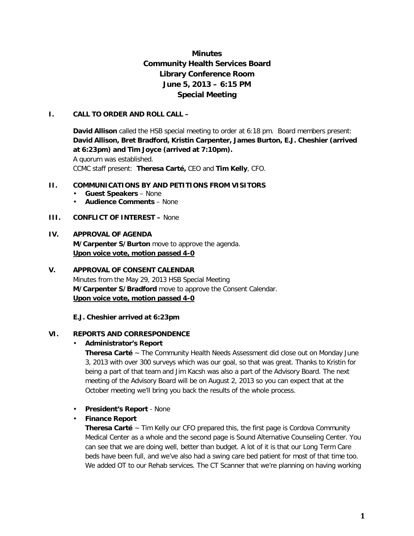# **Minutes Community Health Services Board Library Conference Room June 5, 2013 – 6:15 PM Special Meeting**

#### **I. CALL TO ORDER AND ROLL CALL –**

**David Allison** called the HSB special meeting to order at 6:18 pm. Board members present: **David Allison, Bret Bradford, Kristin Carpenter, James Burton, E.J. Cheshier (arrived at 6:23pm) and Tim Joyce (arrived at 7:10pm).**  A quorum was established. CCMC staff present: **Theresa Carté,** CEO and **Tim Kelly**, CFO.

#### **II. COMMUNICATIONS BY AND PETITIONS FROM VISITORS**

- **Guest Speakers**  None
- **Audience Comments**  None
- **III. CONFLICT OF INTEREST** None

### **IV. APPROVAL OF AGENDA**

**M/Carpenter S/Burton** move to approve the agenda. **Upon voice vote, motion passed 4-0**

# **V. APPROVAL OF CONSENT CALENDAR**

Minutes from the May 29, 2013 HSB Special Meeting **M/Carpenter S/Bradford** move to approve the Consent Calendar. **Upon voice vote, motion passed 4-0** 

**E.J. Cheshier arrived at 6:23pm**

#### **VI. REPORTS AND CORRESPONDENCE**

#### • **Administrator's Report**

**Theresa Carté** ~ The Community Health Needs Assessment did close out on Monday June 3, 2013 with over 300 surveys which was our goal, so that was great. Thanks to Kristin for being a part of that team and Jim Kacsh was also a part of the Advisory Board. The next meeting of the Advisory Board will be on August 2, 2013 so you can expect that at the October meeting we'll bring you back the results of the whole process.

• **President's Report** - None

#### • **Finance Report**

**Theresa Carté** ~ Tim Kelly our CFO prepared this, the first page is Cordova Community Medical Center as a whole and the second page is Sound Alternative Counseling Center. You can see that we are doing well, better than budget. A lot of it is that our Long Term Care beds have been full, and we've also had a swing care bed patient for most of that time too. We added OT to our Rehab services. The CT Scanner that we're planning on having working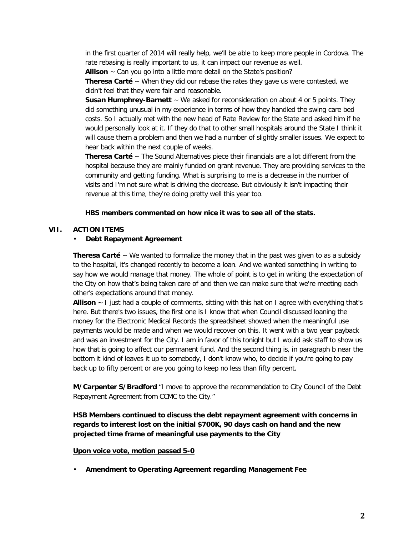in the first quarter of 2014 will really help, we'll be able to keep more people in Cordova. The rate rebasing is really important to us, it can impact our revenue as well.

**Allison** ~ Can you go into a little more detail on the State's position?

**Theresa Carté** ~ When they did our rebase the rates they gave us were contested, we didn't feel that they were fair and reasonable.

**Susan Humphrey-Barnett** ~ We asked for reconsideration on about 4 or 5 points. They did something unusual in my experience in terms of how they handled the swing care bed costs. So I actually met with the new head of Rate Review for the State and asked him if he would personally look at it. If they do that to other small hospitals around the State I think it will cause them a problem and then we had a number of slightly smaller issues. We expect to hear back within the next couple of weeks.

**Theresa Carté** ~ The Sound Alternatives piece their financials are a lot different from the hospital because they are mainly funded on grant revenue. They are providing services to the community and getting funding. What is surprising to me is a decrease in the number of visits and I'm not sure what is driving the decrease. But obviously it isn't impacting their revenue at this time, they're doing pretty well this year too.

#### **HBS members commented on how nice it was to see all of the stats.**

#### **VII. ACTION ITEMS**

#### • **Debt Repayment Agreement**

**Theresa Carté** ~ We wanted to formalize the money that in the past was given to as a subsidy to the hospital, it's changed recently to become a loan. And we wanted something in writing to say how we would manage that money. The whole of point is to get in writing the expectation of the City on how that's being taken care of and then we can make sure that we're meeting each other's expectations around that money.

**Allison** ~ I just had a couple of comments, sitting with this hat on I agree with everything that's here. But there's two issues, the first one is I know that when Council discussed loaning the money for the Electronic Medical Records the spreadsheet showed when the meaningful use payments would be made and when we would recover on this. It went with a two year payback and was an investment for the City. I am in favor of this tonight but I would ask staff to show us how that is going to affect our permanent fund. And the second thing is, in paragraph b near the bottom it kind of leaves it up to somebody, I don't know who, to decide if you're going to pay back up to fifty percent or are you going to keep no less than fifty percent.

**M/Carpenter S/Bradford** "I move to approve the recommendation to City Council of the Debt Repayment Agreement from CCMC to the City."

**HSB Members continued to discuss the debt repayment agreement with concerns in regards to interest lost on the initial \$700K, 90 days cash on hand and the new projected time frame of meaningful use payments to the City**

#### **Upon voice vote, motion passed 5-0**

• **Amendment to Operating Agreement regarding Management Fee**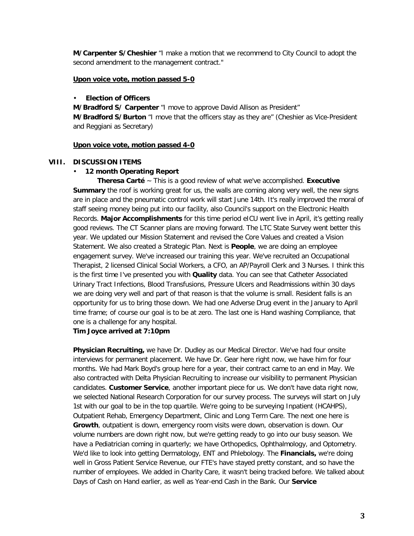**M/Carpenter S/Cheshier** "I make a motion that we recommend to City Council to adopt the second amendment to the management contract."

#### **Upon voice vote, motion passed 5-0**

#### • **Election of Officers**

**M/Bradford S/ Carpenter** "I move to approve David Allison as President" **M/Bradford S/Burton** "I move that the officers stay as they are" (Cheshier as Vice-President and Reggiani as Secretary)

#### **Upon voice vote, motion passed 4-0**

#### **VIII. DISCUSSION ITEMS**

#### • **12 month Operating Report**

**Theresa Carté** ~ This is a good review of what we've accomplished. **Executive Summary** the roof is working great for us, the walls are coming along very well, the new signs are in place and the pneumatic control work will start June 14th. It's really improved the moral of staff seeing money being put into our facility, also Council's support on the Electronic Health Records. **Major Accomplishments** for this time period eICU went live in April, it's getting really good reviews. The CT Scanner plans are moving forward. The LTC State Survey went better this year. We updated our Mission Statement and revised the Core Values and created a Vision Statement. We also created a Strategic Plan. Next is **People**, we are doing an employee engagement survey. We've increased our training this year. We've recruited an Occupational Therapist, 2 licensed Clinical Social Workers, a CFO, an AP/Payroll Clerk and 3 Nurses. I think this is the first time I've presented you with **Quality** data. You can see that Catheter Associated Urinary Tract Infections, Blood Transfusions, Pressure Ulcers and Readmissions within 30 days we are doing very well and part of that reason is that the volume is small. Resident falls is an opportunity for us to bring those down. We had one Adverse Drug event in the January to April time frame; of course our goal is to be at zero. The last one is Hand washing Compliance, that one is a challenge for any hospital.

#### **Tim Joyce arrived at 7:10pm**

**Physician Recruiting,** we have Dr. Dudley as our Medical Director. We've had four onsite interviews for permanent placement. We have Dr. Gear here right now, we have him for four months. We had Mark Boyd's group here for a year, their contract came to an end in May. We also contracted with Delta Physician Recruiting to increase our visibility to permanent Physician candidates. **Customer Service**, another important piece for us. We don't have data right now, we selected National Research Corporation for our survey process. The surveys will start on July 1st with our goal to be in the top quartile. We're going to be surveying Inpatient (HCAHPS), Outpatient Rehab, Emergency Department, Clinic and Long Term Care. The next one here is **Growth**, outpatient is down, emergency room visits were down, observation is down. Our volume numbers are down right now, but we're getting ready to go into our busy season. We have a Pediatrician coming in quarterly; we have Orthopedics, Ophthalmology, and Optometry. We'd like to look into getting Dermatology, ENT and Phlebology. The **Financials,** we're doing well in Gross Patient Service Revenue, our FTE's have stayed pretty constant, and so have the number of employees. We added in Charity Care, it wasn't being tracked before. We talked about Days of Cash on Hand earlier, as well as Year-end Cash in the Bank. Our **Service**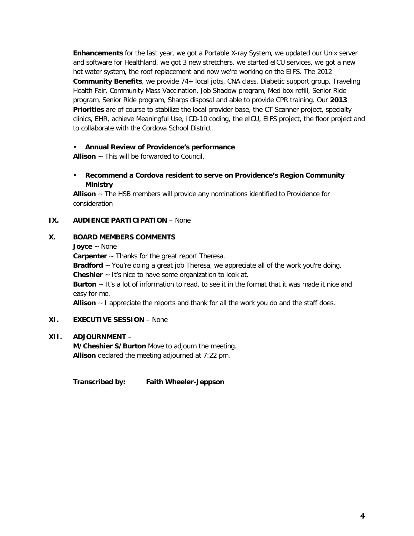**Enhancements** for the last year, we got a Portable X-ray System, we updated our Unix server and software for Healthland, we got 3 new stretchers, we started eICU services, we got a new hot water system, the roof replacement and now we're working on the EIFS. The 2012 **Community Benefits**, we provide 74+ local jobs, CNA class, Diabetic support group, Traveling Health Fair, Community Mass Vaccination, Job Shadow program, Med box refill, Senior Ride program, Senior Ride program, Sharps disposal and able to provide CPR training. Our **2013 Priorities** are of course to stabilize the local provider base, the CT Scanner project, specialty clinics, EHR, achieve Meaningful Use, ICD-10 coding, the eICU, EIFS project, the floor project and to collaborate with the Cordova School District.

### • **Annual Review of Providence's performance**

**Allison** ~ This will be forwarded to Council.

• **Recommend a Cordova resident to serve on Providence's Region Community Ministry**

**Allison** ~ The HSB members will provide any nominations identified to Providence for consideration

### **IX. AUDIENCE PARTICIPATION** – None

### **X. BOARD MEMBERS COMMENTS**

**Joyce** ~ None

**Carpenter** ~ Thanks for the great report Theresa.

**Bradford** ~ You're doing a great job Theresa, we appreciate all of the work you're doing. **Cheshier** ~ It's nice to have some organization to look at.

**Burton** ~ It's a lot of information to read, to see it in the format that it was made it nice and easy for me.

**Allison** ~ I appreciate the reports and thank for all the work you do and the staff does.

#### **XI. EXECUTIVE SESSION** – None

#### **XII. ADJOURNMENT** –

**M/Cheshier S/Burton** Move to adjourn the meeting. **Allison** declared the meeting adjourned at 7:22 pm.

**Transcribed by: Faith Wheeler-Jeppson**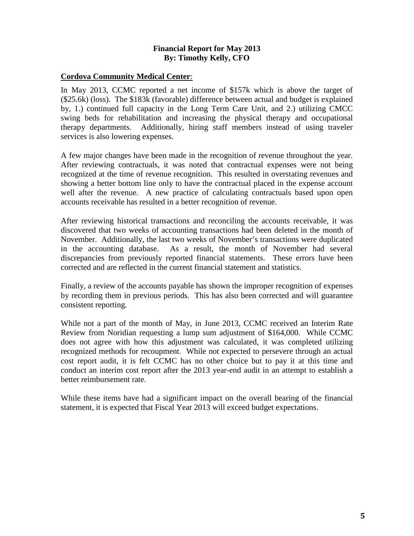## **Financial Report for May 2013 By: Timothy Kelly, CFO**

### **Cordova Community Medical Center**:

In May 2013, CCMC reported a net income of \$157k which is above the target of (\$25.6k) (loss). The \$183k (favorable) difference between actual and budget is explained by, 1.) continued full capacity in the Long Term Care Unit, and 2.) utilizing CMCC swing beds for rehabilitation and increasing the physical therapy and occupational therapy departments. Additionally, hiring staff members instead of using traveler services is also lowering expenses.

A few major changes have been made in the recognition of revenue throughout the year. After reviewing contractuals, it was noted that contractual expenses were not being recognized at the time of revenue recognition. This resulted in overstating revenues and showing a better bottom line only to have the contractual placed in the expense account well after the revenue. A new practice of calculating contractuals based upon open accounts receivable has resulted in a better recognition of revenue.

After reviewing historical transactions and reconciling the accounts receivable, it was discovered that two weeks of accounting transactions had been deleted in the month of November. Additionally, the last two weeks of November's transactions were duplicated in the accounting database. As a result, the month of November had several discrepancies from previously reported financial statements. These errors have been corrected and are reflected in the current financial statement and statistics.

Finally, a review of the accounts payable has shown the improper recognition of expenses by recording them in previous periods. This has also been corrected and will guarantee consistent reporting.

While not a part of the month of May, in June 2013, CCMC received an Interim Rate Review from Noridian requesting a lump sum adjustment of \$164,000. While CCMC does not agree with how this adjustment was calculated, it was completed utilizing recognized methods for recoupment. While not expected to persevere through an actual cost report audit, it is felt CCMC has no other choice but to pay it at this time and conduct an interim cost report after the 2013 year-end audit in an attempt to establish a better reimbursement rate.

While these items have had a significant impact on the overall bearing of the financial statement, it is expected that Fiscal Year 2013 will exceed budget expectations.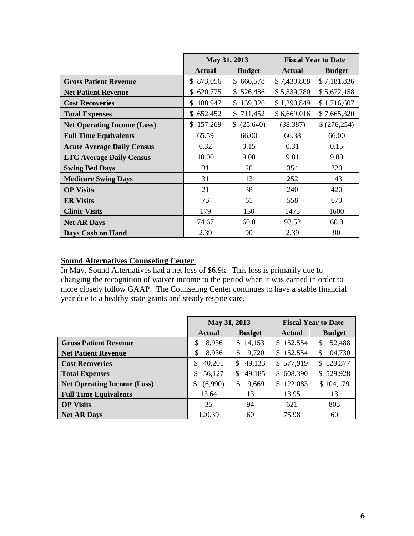|                                    | May 31, 2013   |                 | <b>Fiscal Year to Date</b> |               |
|------------------------------------|----------------|-----------------|----------------------------|---------------|
|                                    | <b>Actual</b>  | <b>Budget</b>   | <b>Actual</b>              | <b>Budget</b> |
| <b>Gross Patient Revenue</b>       | 873,056<br>\$  | \$666,578       | \$7,430,808                | \$7,181,836   |
| <b>Net Patient Revenue</b>         | 620,775<br>S.  | 526,486<br>\$   | \$5,339,780                | \$5,672,458   |
| <b>Cost Recoveries</b>             | 188,947<br>\$. | \$159,326       | \$1,290,849                | \$1,716,607   |
| <b>Total Expenses</b>              | 652,452<br>\$. | \$711,452       | \$6,669,016                | \$7,665,320   |
| <b>Net Operating Income (Loss)</b> | 157,269<br>\$  | (25, 640)<br>\$ | (38, 387)                  | \$(276,254)   |
| <b>Full Time Equivalents</b>       | 65.59          | 66.00           | 66.38                      | 66.00         |
| <b>Acute Average Daily Census</b>  | 0.32           | 0.15            | 0.31                       | 0.15          |
| <b>LTC Average Daily Census</b>    | 10.00          | 9.00            | 9.81                       | 9.00          |
| <b>Swing Bed Days</b>              | 31             | 20              | 354                        | 220           |
| <b>Medicare Swing Days</b>         | 31             | 13              | 252                        | 143           |
| <b>OP Visits</b>                   | 21             | 38              | 240                        | 420           |
| <b>ER Visits</b>                   | 73             | 61              | 558                        | 670           |
| <b>Clinic Visits</b>               | 179            | 150             | 1475                       | 1600          |
| <b>Net AR Days</b>                 | 74.67          | 60.0            | 93.52                      | 60.0          |
| <b>Days Cash on Hand</b>           | 2.39           | 90              | 2.39                       | 90            |

# **Sound Alternatives Counseling Center**:

In May, Sound Alternatives had a net loss of \$6.9k. This loss is primarily due to changing the recognition of waiver income to the period when it was earned in order to more closely follow GAAP. The Counseling Center continues to have a stable financial year due to a healthy state grants and steady respite care.

|                                    | May 31, 2013  |               | <b>Fiscal Year to Date</b> |               |
|------------------------------------|---------------|---------------|----------------------------|---------------|
|                                    | <b>Actual</b> | <b>Budget</b> | Actual                     | <b>Budget</b> |
| <b>Gross Patient Revenue</b>       | 8,936<br>\$   | 14,153<br>\$  | 152,554<br>\$              | \$152,488     |
| <b>Net Patient Revenue</b>         | \$<br>8,936   | \$<br>9,720   | 152,554<br>\$              | \$104,730     |
| <b>Cost Recoveries</b>             | 40,201<br>\$  | 49,133<br>\$  | 577,919<br>\$              | \$529,377     |
| <b>Total Expenses</b>              | \$<br>56,127  | 49,185<br>S   | 608,390<br>S.              | \$529,928     |
| <b>Net Operating Income (Loss)</b> | \$<br>(6,990) | \$<br>9,669   | 122,083<br>\$              | \$104,179     |
| <b>Full Time Equivalents</b>       | 13.64         | 13            | 13.95                      | 13            |
| <b>OP Visits</b>                   | 35            | 94            | 621                        | 805           |
| <b>Net AR Days</b>                 | 120.39        | 60            | 75.98                      | 60            |